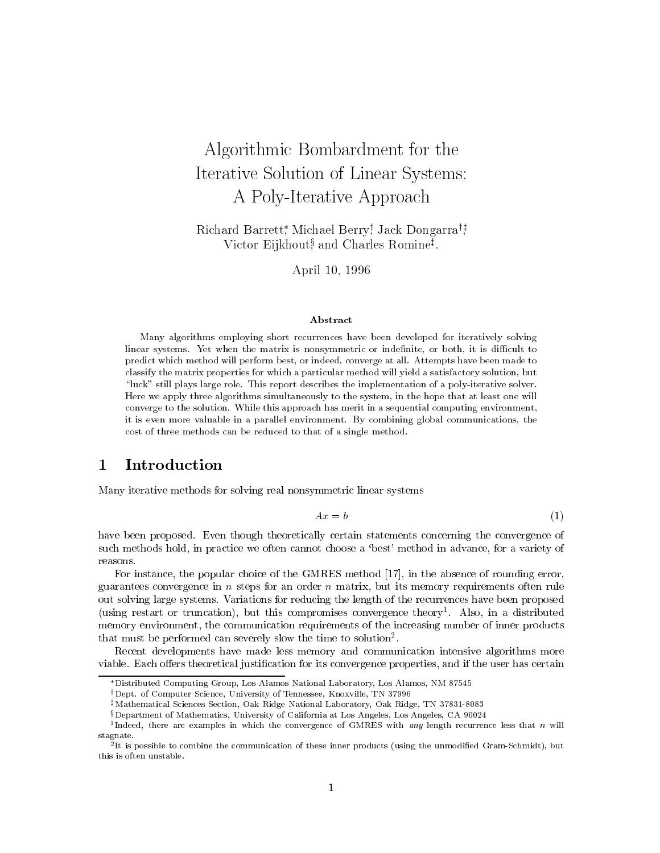# Algorithmic Bombardment for the Iterative Solution of Linear Systems: A Poly-Iterative Approach

nichard Barrett, Michael Berry; Jack Dongarra'; victor Eijkhout; and Charles Romine<sup>t</sup>.

April 10, 1996

### Abstract

Many algorithms employing short recurrences have been developed for iteratively solving linear systems. Yet when the matrix is nonsymmetric or indefinite, or both, it is difficult to predict which method will perform best, or indeed, converge at all. Attempts have been made to classify the matrix properties for which a particular method will yield a satisfactory solution, but "luck" still plays large role. This report describes the implementation of a poly-iterative solver. Here we apply three algorithms simultaneously to the system, in the hope that at least one will converge to the solution. While this approach has merit in a sequential computing environment, it is even more valuable in a parallel environment. By combining global communications, the cost of three methods can be reduced to that of a single method.

#### **Introduction**  $\mathbf 1$

Many iterative methods for solving real nonsymmetric linear systems

$$
Ax = b \tag{1}
$$

have been proposed. Even though theoretically certain statements concerning the convergence of such methods hold, in practice we often cannot choose a 'best' method in advance, for a variety of reasons.

For instance, the popular choice of the GMRES method [17], in the absence of rounding error, guarantees convergence in  $n$  steps for an order  $n$  matrix, but its memory requirements often rule out solving large systems. Variations for reducing the length of the recurrences have been proposed (using restart or truncation), but this compromises convergence theory1 . Also, in a distributed memory environment, the communication requirements of the increasing number of inner products that must be performed can severely slow the time to solution2 .

Recent developments have made less memory and communication intensive algorithms more viable. Each offers theoretical justification for its convergence properties, and if the user has certain

Distributed Computing Group, Los Alamos National Laboratory, Los Alamos, NM 87545

<sup>&</sup>lt;sup>†</sup>Dept. of Computer Science, University of Tennessee, Knoxville, TN 37996

 $^{\ddagger}$ Mathematical Sciences Section, Oak Ridge National Laboratory, Oak Ridge, TN 37831-8083

xDepartment of Mathematics, University of California at Los Angeles, Los Angeles, CA 90024

Tindeed, there are examples in which the convergence of GMRES with any length recurrence less that  $n$  will stagnate.

<sup>2</sup> It is possible to combine the communication of these inner products (using the unmodied Gram-Schmidt), but this is often unstable.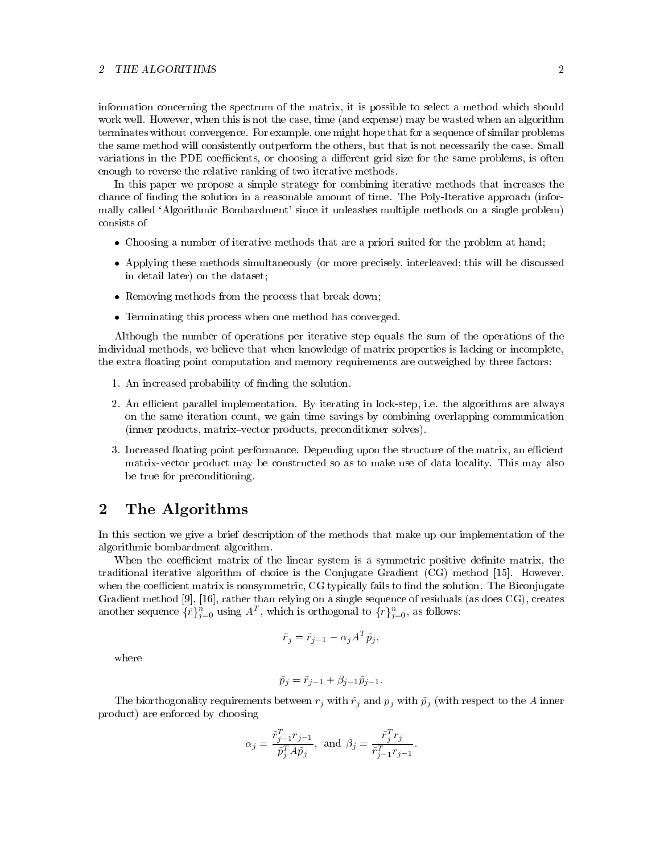#### $\overline{2}$ **THE ALGORITHMS**

information concerning the spectrum of the matrix, it is possible to select a method which should work well. However, when this is not the case, time (and expense) may be wasted when an algorithm terminates without convergence. For example, one might hope that for a sequence of similar problems the same method will consistently outperform the others, but that is not necessarily the case. Small variations in the PDE coefficients, or choosing a different grid size for the same problems, is often enough to reverse the relative ranking of two iterative methods.

In this paper we propose a simple strategy for combining iterative methods that increases the chance of finding the solution in a reasonable amount of time. The Poly-Iterative approach (informally called `Algorithmic Bombardment' since it unleashes multiple methods on a single problem) consists of

- Choosing a number of iterative methods that are a priori suited for the problem at hand;
- Applying these methods simultaneously (or more precisely, interleaved; this will be discussed in detail later) on the dataset;
- Removing methods from the process that break down;
- Terminating this process when one method has converged.

Although the number of operations per iterative step equals the sum of the operations of the individual methods, we believe that when knowledge of matrix properties is lacking or incomplete, the extra floating point computation and memory requirements are outweighed by three factors:

- 1. An increased probability of finding the solution.
- 2. An efficient parallel implementation. By iterating in lock-step, i.e. the algorithms are always on the same iteration count, we gain time savings by combining overlapping communication (inner products, matrix-vector products, preconditioner solves).
- 3. Increased floating point performance. Depending upon the structure of the matrix, an efficient matrix-vector product may be constructed so as to make use of data locality. This may also be true for preconditioning.

# 2 The Algorithms

In this section we give a brief description of the methods that make up our implementation of the algorithmic bombardment algorithm.

When the coefficient matrix of the linear system is a symmetric positive definite matrix, the traditional iterative algorithm of choice is the Conjugate Gradient (CG) method [15]. However, when the coefficient matrix is nonsymmetric, CG typically fails to find the solution. The Biconjugate Gradient method [9], [16], rather than relying on a single sequence of residuals (as does CG), creates another sequence  $\{r\}_{i=0}$  using A , which is orthogonal to  $\{r\}_{i=0}$ , as follows:

$$
\tilde{r}_j = \tilde{r}_{j-1} - \alpha_j A^T \tilde{p}_j,
$$

where

$$
\tilde{p}_j = \tilde{r}_{j-1} + \beta_{j-1} \tilde{p}_{j-1}.
$$

The biorthogonality requirements between  $r_j$  with  $\tilde{r}_j$  and  $p_j$  with  $\tilde{p}_j$  (with respect to the A inner product) are enforced by choosing

$$
\alpha_j = \frac{\tilde{r}_{j-1}^T r_{j-1}}{\tilde{p}_j^T A \tilde{p}_j}, \text{ and } \beta_j = \frac{\tilde{r}_j^T r_j}{\tilde{r}_{j-1}^T r_{j-1}}.
$$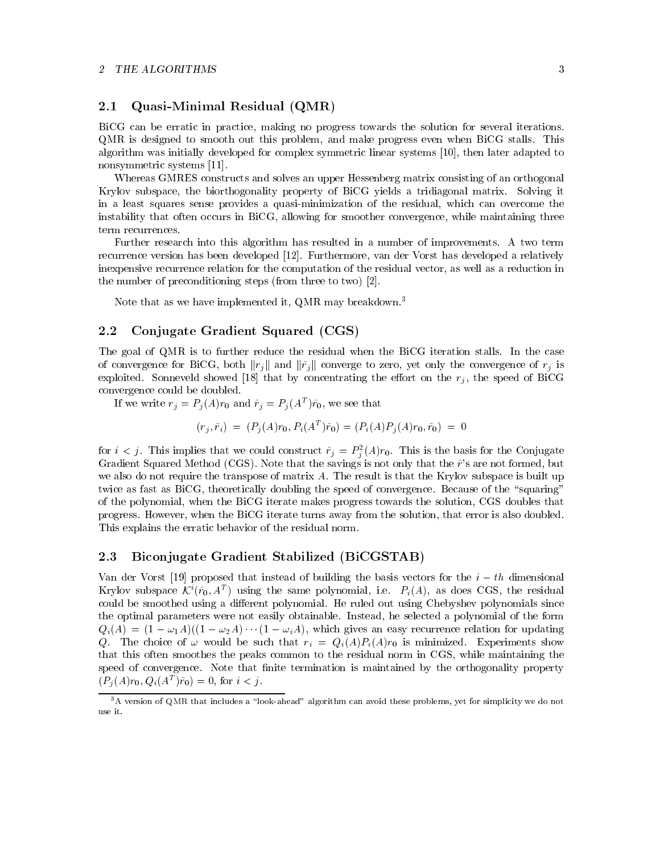# 2.1 Quasi-Minimal Residual (QMR)

BiCG can be erratic in practice, making no progress towards the solution for several iterations. QMR is designed to smooth out this problem, and make progress even when BiCG stalls. This algorithm was initially developed for complex symmetric linear systems [10], then later adapted to nonsymmetric systems [11].

Whereas GMRES constructs and solves an upper Hessenberg matrix consisting of an orthogonal Krylov subspace, the biorthogonality property of BiCG yields a tridiagonal matrix. Solving it in a least squares sense provides a quasi-minimization of the residual, which can overcome the instability that often occurs in BiCG, allowing for smoother convergence, while maintaining three term recurrences.

Further research into this algorithm has resulted in a number of improvements. A two term recurrence version has been developed [12]. Furthermore, van der Vorst has developed a relatively inexpensive recurrence relation for the computation of the residual vector, as well as a reduction in the number of preconditioning steps (from three to two) [2].

Note that as we have implemented it, QMR may breakdown.3

#### Conjugate Gradient Squared (CGS) 2.2

The goal of QMR is to further reduce the residual when the BiCG iteration stalls. In the case of convergence for BiCG, both  $||r_j||$  and  $||\tilde{r}_j||$  converge to zero, yet only the convergence of  $r_j$  is exploited. Sonneveld showed [18] that by concentrating the effort on the  $r_j$ , the speed of BiCG convergence could be doubled.

If we write  $r_j = r_j(A)r_0$  and  $r_j = r_j(A^{-1})r_0$ , we see that

$$
(r_i, \tilde{r}_i) = (P_i(A)r_0, P_i(A^T)\tilde{r}_0) = (P_i(A)P_i(A)r_0, \tilde{r}_0) = 0
$$

for  $i < j$ . This implies that we could construct  $r_j = r_j(A)r_0$ . This is the basis for the Conjugate Gradient Squared Method (CGS). Note that the savings is not only that the  $\tilde{r}$ 's are not formed, but we also do not require the transpose of matrix A. The result is that the Krylov subspace is built up twice as fast as BiCG, theoretically doubling the speed of convergence. Because of the "squaring" of the polynomial, when the BiCG iterate makes progress towards the solution, CGS doubles that progress. However, when the BiCG iterate turns away from the solution, that error is also doubled. This explains the erratic behavior of the residual norm.

# 2.3 Biconjugate Gradient Stabilized (BiCGSTAB)

Van der Vorst [19] proposed that instead of building the basis vectors for the i th dimensional Krylov subspace  $\mathcal{N}(r_0, A^*)$  using the same polynomial, i.e.  $P_i(A)$ , as does  $\cup$ GS, the residual could be smoothed using a different polynomial. He ruled out using Chebyshev polynomials since the optimal parameters were not easily obtainable. Instead, he selected a polynomial of the form  $Q_i(A) = (1 - \omega_1 A)((1 - \omega_2 A) \cdots (1 - \omega_i A),$  which gives an easy recurrence relation for updating Q. The choice of  $\omega$  would be such that  $r_i = Q_i(A)P_i(A)r_0$  is minimized. Experiments show that this often smoothes the peaks common to the residual norm in CGS, while maintaining the speed of convergence. Note that finite termination is maintained by the orthogonality property  $(F_i(A)T_0, Q_i(A_1)T_0) = 0,$  for  $i \leq j$ .

<sup>&</sup>lt;sup>3</sup>A version of QMR that includes a "look-ahead" algorithm can avoid these problems, yet for simplicity we do not use it.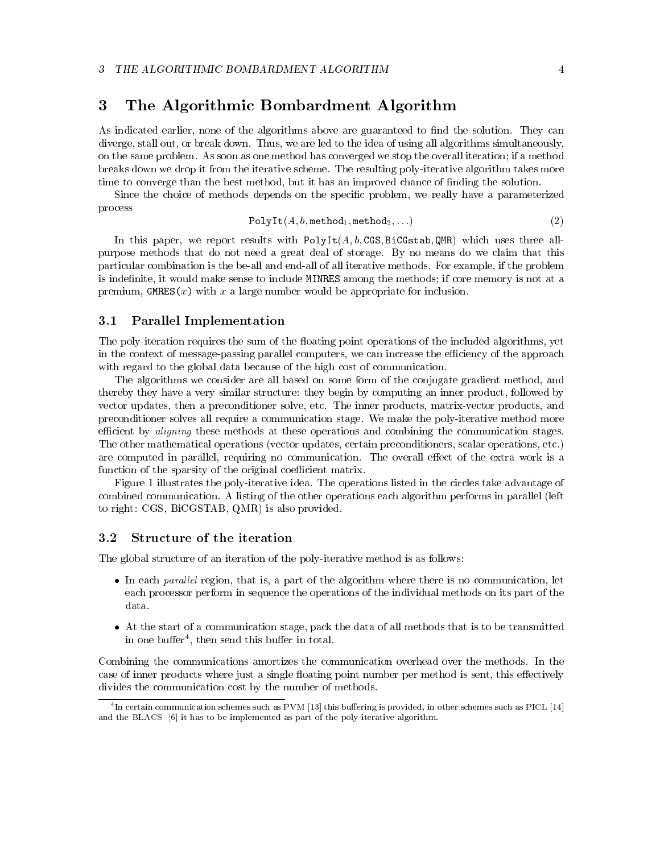# 3 The Algorithmic Bombardment Algorithm

As indicated earlier, none of the algorithms above are guaranteed to find the solution. They can diverge, stall out, or break down. Thus, we are led to the idea of using all algorithms simultaneously, on the same problem. As soon as one method has converged we stop the overall iteration; if a method breaks down we drop it from the iterative scheme. The resulting poly-iterative algorithm takes more time to converge than the best method, but it has an improved chance of finding the solution.

Since the choice of methods depends on the specic problem, we really have a parameterized process

$$
\mathtt{PolyIt}(A,b,\mathtt{method}_1,\mathtt{method}_2,\ldots) \qquad \qquad (2)
$$

In this paper, we report results with  $PolyIt(A, b, CGS, BiCGstab, QMR)$  which uses three allpurpose methods that do not need a great deal of storage. By no means do we claim that this particular combination is the be-all and end-all of all iterative methods. For example, if the problem is indefinite, it would make sense to include MINRES among the methods; if core memory is not at a premium, GMRES $(x)$  with x a large number would be appropriate for inclusion.

# 3.1 Parallel Implementation

The poly-iteration requires the sum of the floating point operations of the included algorithms, yet in the context of message-passing parallel computers, we can increase the efficiency of the approach with regard to the global data because of the high cost of communication.

The algorithms we consider are all based on some form of the conjugate gradient method, and thereby they have a very similar structure: they begin by computing an inner product, followed by vector updates, then a preconditioner solve, etc. The inner products, matrix-vector products, and preconditioner solves all require a communication stage. We make the poly-iterative method more efficient by *aligning* these methods at these operations and combining the communication stages. The other mathematical operations (vector updates, certain preconditioners, scalar operations, etc.) are computed in parallel, requiring no communication. The overall effect of the extra work is a function of the sparsity of the original coefficient matrix.

Figure 1 illustrates the poly-iterative idea. The operations listed in the circles take advantage of combined communication. A listing of the other operations each algorithm performs in parallel (left to right: CGS, BiCGSTAB, QMR) is also provided.

#### 3.2 Structure of the iteration

The global structure of an iteration of the poly-iterative method is as follows:

- $\bullet$  In each parallel region, that is, a part of the algorithm where there is no communication, let each processor perform in sequence the operations of the individual methods on its part of the data.
- At the start of a communication stage, pack the data of all methods that is to be transmitted in one buiter , then send this builer in total.

Combining the communications amortizes the communication overhead over the methods. In the case of inner products where just a single floating point number per method is sent, this effectively divides the communication cost by the number of methods.

<sup>4</sup> In certain communication schemes such as PVM [13] this buering is provided, in other schemes such as PICL [14] and the BLACS [6] it has to be implemented as part of the poly-iterative algorithm.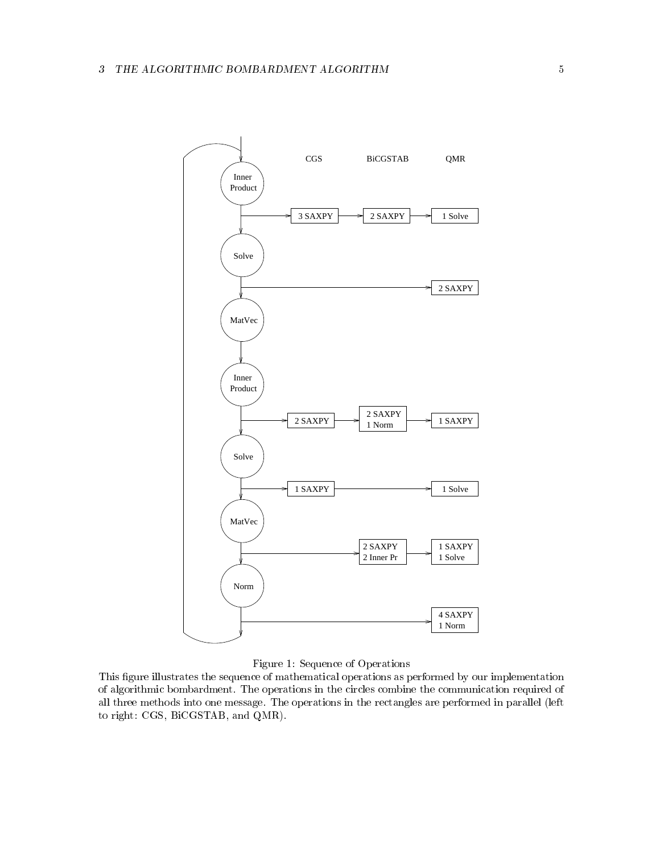

# Figure 1: Sequence of Operations

This figure illustrates the sequence of mathematical operations as performed by our implementation of algorithmic bombardment. The operations in the circles combine the communication required of all three methods into one message. The operations in the rectangles are performed in parallel (left to right: CGS, BiCGSTAB, and QMR).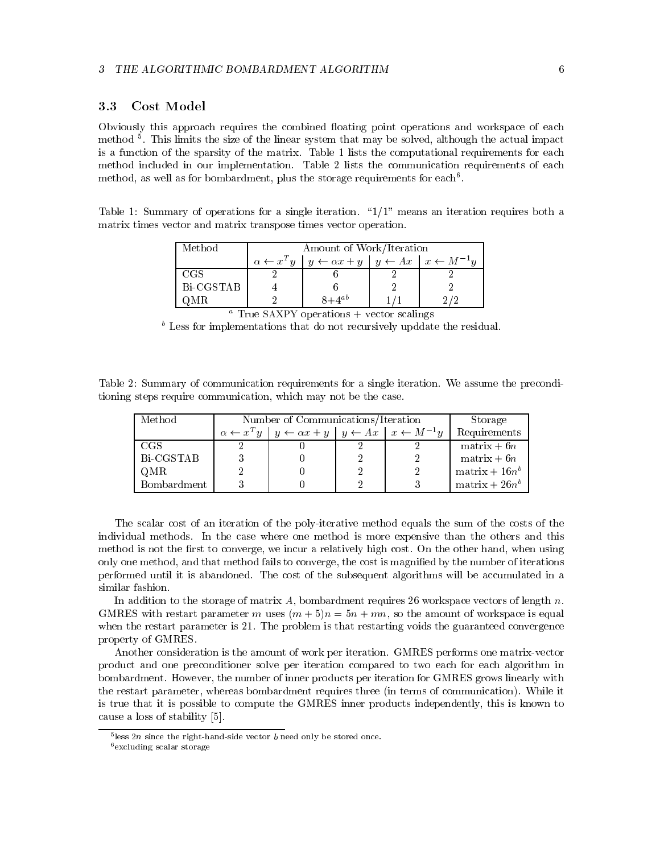# 3.3 Cost Model

Obviously this approach requires the combined floating point operations and workspace of each method <sup>5</sup> . This limits the size of the linear system that may be solved, although the actual impact is a function of the sparsity of the matrix. Table 1 lists the computational requirements for each method included in our implementation. Table 2 lists the communication requirements of each method, as well as for bombardment, plus the storage requirements for each.

Table 1: Summary of operations for a single iteration.  $\frac{1}{1}$ " means an iteration requires both a matrix times vector and matrix transpose times vector operation.

| Method    | Amount of Work/Iteration                                                                                |  |
|-----------|---------------------------------------------------------------------------------------------------------|--|
|           | $\alpha \leftarrow x^T y \mid y \leftarrow \alpha x + y \mid y \leftarrow Ax \mid x \leftarrow M^{-1}y$ |  |
| -CGS      |                                                                                                         |  |
| Bi-CGSTAB |                                                                                                         |  |
| QMR       | $8+4^{ab}$                                                                                              |  |

|  |  | $\frac{1}{1}$ rue $\frac{1}{2}$ $\frac{1}{2}$ $\frac{1}{2}$ $\frac{1}{2}$ $\frac{1}{2}$ $\frac{1}{2}$ $\frac{1}{2}$ $\frac{1}{2}$ $\frac{1}{2}$ $\frac{1}{2}$ $\frac{1}{2}$ $\frac{1}{2}$ $\frac{1}{2}$ $\frac{1}{2}$ $\frac{1}{2}$ $\frac{1}{2}$ $\frac{1}{2}$ $\frac{1}{2}$ $\frac{1}{2}$ $\frac{1}{2}$ $\frac{1}{2$ |  |  |  |  |
|--|--|------------------------------------------------------------------------------------------------------------------------------------------------------------------------------------------------------------------------------------------------------------------------------------------------------------------------|--|--|--|--|
|  |  |                                                                                                                                                                                                                                                                                                                        |  |  |  |  |

b Less for implementations that do not recursively upddate the residual.

Table 2: Summary of communication requirements for a single iteration. We assume the preconditioning steps require communication, which may not be the case.

| Method             | Number of Communications/Iteration |                                                                                                          |  | Storage |                         |
|--------------------|------------------------------------|----------------------------------------------------------------------------------------------------------|--|---------|-------------------------|
|                    |                                    | $\alpha \leftarrow x^T y \mid y \leftarrow \alpha x + y \mid y \leftarrow Ax \mid x \leftarrow M^{-1} y$ |  |         | Requirements            |
| -CGS               |                                    |                                                                                                          |  |         | $matrix + 6n$           |
| Bi-CGSTAB          |                                    |                                                                                                          |  |         | $matrix + 6n$           |
| OMR                |                                    |                                                                                                          |  |         | $\text{matrix} + 16n^b$ |
| <b>Bombardment</b> |                                    |                                                                                                          |  |         | $\text{matrix} + 26n^b$ |

The scalar cost of an iteration of the poly-iterative method equals the sum of the costs of the individual methods. In the case where one method is more expensive than the others and this method is not the first to converge, we incur a relatively high cost. On the other hand, when using only one method, and that method fails to converge, the cost is magnied by the number of iterations performed until it is abandoned. The cost of the subsequent algorithms will be accumulated in a similar fashion.

In addition to the storage of matrix A, bombardment requires 26 workspace vectors of length  $n$ . GMRES with restart parameter m uses  $(m + 5)n = 5n + mn$ , so the amount of workspace is equal when the restart parameter is 21. The problem is that restarting voids the guaranteed convergence property of GMRES.

Another consideration is the amount of work per iteration. GMRES performs one matrix-vector product and one preconditioner solve per iteration compared to two each for each algorithm in bombardment. However, the number of inner products per iteration for GMRES grows linearly with the restart parameter, whereas bombardment requires three (in terms of communication). While it is true that it is possible to compute the GMRES inner products independently, this is known to cause a loss of stability [5].

<sup>5</sup> less 2<sup>n</sup> since the right-hand-side vector <sup>b</sup> need only be stored once.

 $6$ excluding scalar storage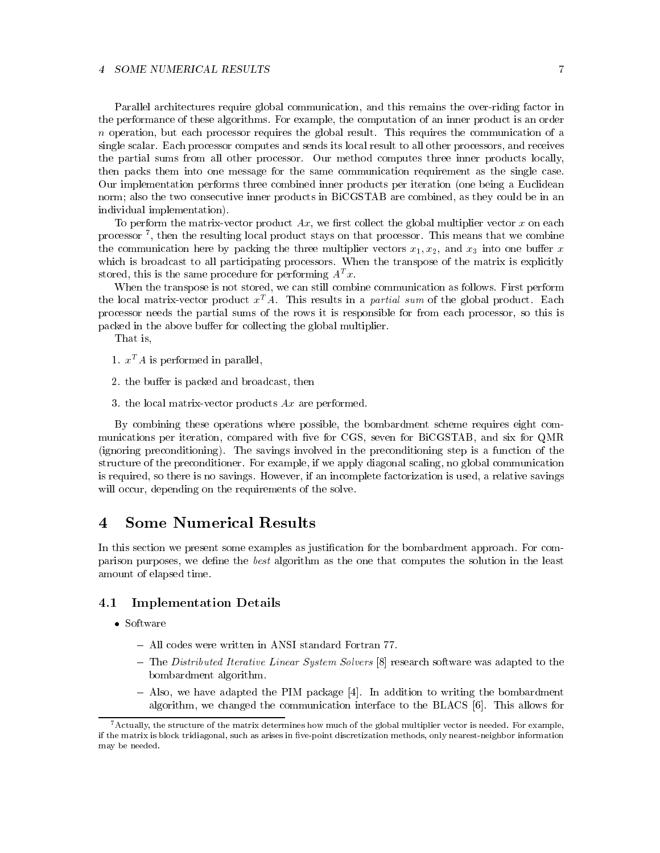### 4 SOME NUMERICAL RESULTS

Parallel architectures require global communication, and this remains the over-riding factor in the performance of these algorithms. For example, the computation of an inner product is an order n operation, but each processor requires the global result. This requires the communication of a single scalar. Each processor computes and sends its local result to all other processors, and receives the partial sums from all other processor. Our method computes three inner products locally, then packs them into one message for the same communication requirement as the single case. Our implementation performs three combined inner products per iteration (one being a Euclidean norm; also the two consecutive inner products in BiCGSTAB are combined, as they could be in an individual implementation).

To perform the matrix-vector product  $Ax$ , we first collect the global multiplier vector x on each processor <sup>7</sup> , then the resulting local product stays on that processor. This means that we combine the communication here by packing the three multiplier vectors  $x_1, x_2$ , and  $x_3$  into one buffer x which is broadcast to all participating processors. When the transpose of the matrix is explicitly stored, this is the same procedure for performing  $A<sup>T</sup> x$ .

When the transpose is not stored, we can still combine communication as follows. First perform the local matrix-vector product  $x^T A$ . This results in a *partial sum* of the global product. Each processor needs the partial sums of the rows it is responsible for from each processor, so this is packed in the above buffer for collecting the global multiplier.

That is,

- 1.  $x^T A$  is performed in parallel,
- 2. the buffer is packed and broadcast, then
- 3. the local matrix-vector products  $Ax$  are performed.

By combining these operations where possible, the bombardment scheme requires eight com munications per iteration, compared with five for CGS, seven for BiCGSTAB, and six for QMR (ignoring preconditioning). The savings involved in the preconditioning step is a function of the structure of the preconditioner. For example, if we apply diagonal scaling, no global communication is required, so there is no savings. However, if an incomplete factorization is used, a relative savings will occur, depending on the requirements of the solve.

#### Some Numerical Results 4

In this section we present some examples as justification for the bombardment approach. For comparison purposes, we define the *best* algorithm as the one that computes the solution in the least amount of elapsed time.

# 4.1 Implementation Details

- Software
	- { All codes were written in ANSI standard Fortran 77.
	- ${\rm -The\; Distributed\;Iterative\; Linear\; System\; Solvers~[8]$  research software was adapted to the bombardment algorithm.
	- $-$  Also, we have adapted the PIM package [4]. In addition to writing the bombardment algorithm, we changed the communication interface to the BLACS [6]. This allows for

 $^7$  Actually, the structure of the matrix determines how much of the global multiplier vector is needed. For example, if the matrix is block tridiagonal, such as arises in five-point discretization methods, only nearest-neighbor information may be needed.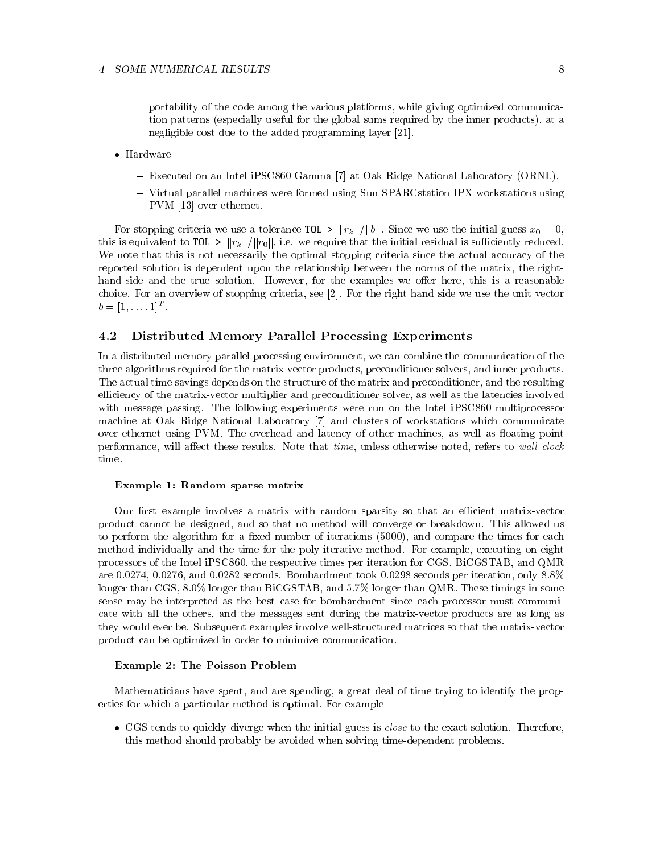portability of the code among the various platforms, while giving optimized communication patterns (especially useful for the global sums required by the inner products), at a negligible cost due to the added programming layer [21].

- $\bullet$  Hardware
	- { Executed on an Intel iPSC860 Gamma [7] at Oak Ridge National Laboratory (ORNL).
	- { Virtual parallel machines were formed using Sun SPARCstation IPX workstations using PVM [13] over ethernet.

For stopping criteria we use a tolerance TOL >  $||r_k||/||b||$ . Since we use the initial guess  $x_0 = 0$ , this is equivalent to TOL  $>$   $||r_k||/||r_0||$ , i.e. we require that the initial residual is sufficiently reduced. We note that this is not necessarily the optimal stopping criteria since the actual accuracy of the reported solution is dependent upon the relationship between the norms of the matrix, the righthand-side and the true solution. However, for the examples we offer here, this is a reasonable choice. For an overview of stopping criteria, see [2]. For the right hand side we use the unit vector  $b = [1, \ldots, 1]$ T

#### 4.2 Distributed Memory Parallel Processing Experiments

In a distributed memory parallel processing environment, we can combine the communication of the three algorithms required for the matrix-vector products, preconditioner solvers, and inner products. The actual time savings depends on the structure of the matrix and preconditioner, and the resulting efficiency of the matrix-vector multiplier and preconditioner solver, as well as the latencies involved with message passing. The following experiments were run on the Intel iPSC860 multiprocessor machine at Oak Ridge National Laboratory [7] and clusters of workstations which communicate over ethernet using PVM. The overhead and latency of other machines, as well as floating point performance, will affect these results. Note that *time*, unless otherwise noted, refers to wall clock time.

### Example 1: Random sparse matrix

Our first example involves a matrix with random sparsity so that an efficient matrix-vector product cannot be designed, and so that no method will converge or breakdown. This allowed us to perform the algorithm for a fixed number of iterations (5000), and compare the times for each method individually and the time for the poly-iterative method. For example, executing on eight processors of the Intel iPSC860, the respective times per iteration for CGS, BiCGSTAB, and QMR are 0.0274, 0.0276, and 0.0282 seconds. Bombardment took 0.0298 seconds per iteration, only 8:8% longer than CGS, 8:0% longer than BiCGSTAB, and 5:7% longer than QMR. These timings in some sense may be interpreted as the best case for bombardment since each processor must communicate with all the others, and the messages sent during the matrix-vector products are as long as they would ever be. Subsequent examples involve well-structured matrices so that the matrix-vector product can be optimized in order to minimize communication.

### Example 2: The Poisson Problem

Mathematicians have spent, and are spending, a great deal of time trying to identify the properties for which a particular method is optimal. For example

 CGS tends to quickly diverge when the initial guess is close to the exact solution. Therefore, this method should probably be avoided when solving time-dependent problems.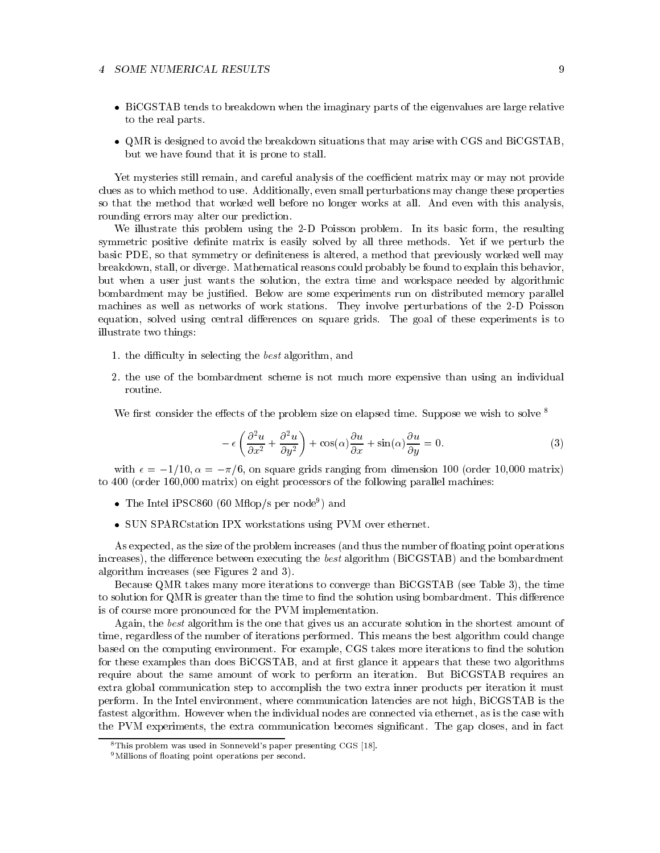### 4 SOME NUMERICAL RESULTS

- BiCGSTAB tends to breakdown when the imaginary parts of the eigenvalues are large relative to the real parts.
- QMR is designed to avoid the breakdown situations that may arise with CGS and BiCGSTAB, but we have found that it is prone to stall.

Yet mysteries still remain, and careful analysis of the coefficient matrix may or may not provide clues as to which method to use. Additionally, even small perturbations may change these properties so that the method that worked well before no longer works at all. And even with this analysis, rounding errors may alter our prediction.

We illustrate this problem using the 2-D Poisson problem. In its basic form, the resulting symmetric positive denite matrix is easily solved by all three methods. Yet if we perturb the basic PDE, so that symmetry or definiteness is altered, a method that previously worked well may breakdown, stall, or diverge. Mathematical reasons could probably be found to explain this behavior, but when a user just wants the solution, the extra time and workspace needed by algorithmic bombardment may be justied. Below are some experiments run on distributed memory parallel machines as well as networks of work stations. They involve perturbations of the 2-D Poisson equation, solved using central differences on square grids. The goal of these experiments is to illustrate two things:

- 1. the difficulty in selecting the *best* algorithm, and
- 2. the use of the bombardment scheme is not much more expensive than using an individual

We first consider the effects of the problem size on elapsed time. Suppose we wish to solve

$$
-\epsilon \left(\frac{\partial^2 u}{\partial x^2} + \frac{\partial^2 u}{\partial y^2}\right) + \cos(\alpha)\frac{\partial u}{\partial x} + \sin(\alpha)\frac{\partial u}{\partial y} = 0.
$$
 (3)

with  $\epsilon = -1/10, \alpha = -\pi/6$ , on square grids ranging from dimension 100 (order 10,000 matrix) to 400 (order 160,000 matrix) on eight processors of the following parallel machines:

- $\bullet$  The Intel iPSC800 (60 MHop/s per node ) and
- SUN SPARC station IPX workstations using PVM over ethernet.

As expected, as the size of the problem increases (and thus the number of floating point operations increases), the difference between executing the *best* algorithm ( $BiCGSTAB$ ) and the bombardment algorithm increases (see Figures 2 and 3).

Because QMR takes many more iterations to converge than BiCGSTAB (see Table 3), the time to solution for QMR is greater than the time to find the solution using bombardment. This difference is of course more pronounced for the PVM implementation.

Again, the best algorithm is the one that gives us an accurate solution in the shortest amount of time, regardless of the number of iterations performed. This means the best algorithm could change based on the computing environment. For example, CGS takes more iterations to find the solution for these examples than does BiCGSTAB, and at first glance it appears that these two algorithms require about the same amount of work to perform an iteration. But BiCGSTAB requires an extra global communication step to accomplish the two extra inner products per iteration it must perform. In the Intel environment, where communication latencies are not high, BiCGSTAB is the fastest algorithm. However when the individual nodes are connected via ethernet, as is the case with the PVM experiments, the extra communication becomes signicant. The gap closes, and in fact

<sup>8</sup>This problem was used in Sonneveld's paper presenting CGS [18].

<sup>&</sup>lt;sup>9</sup>Millions of floating point operations per second.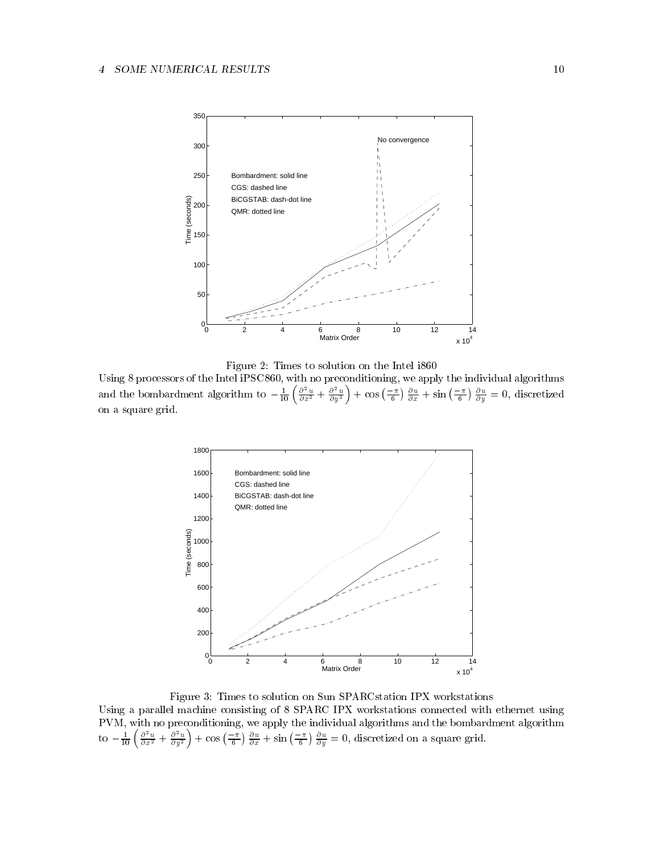

Figure 2: Times to solution on the Intel i860

Using 8 processors of the Intel iPSC860, with no preconditioning, we apply the individual algorithms and the bombardment algorithm to  $-\frac{1}{10}\left(\frac{\partial^2 u}{\partial x^2} + \frac{\partial^2 u}{\partial y^2}\right) + \cos\left(\frac{-\pi}{6}\right)\frac{\partial u}{\partial x} + \sin\left(\frac{-\pi}{6}\right)\frac{\partial u}{\partial y} = 0$ , discretized on a square grid.



Figure 3: Times to solution on Sun SPARCstation IPX workstations Using a parallel machine consisting of 8 SPARC IPX workstations connected with ethernet using  $P$  and  $P$  apply the individual algorithms and the individual algorithms and the bombardment algorithms and the bombardiment algorithms and the bombardiment algorithms and the bombardiment algorithms and the bombardiment to  $-\frac{1}{10}\left(\frac{\partial^2 u}{\partial x^2} + \frac{\partial^2 u}{\partial y^2}\right) + \cos\left(\frac{-\pi}{6}\right)\frac{\partial u}{\partial x} + \sin\left(\frac{-\pi}{6}\right)\frac{\partial u}{\partial y} = 0$ , discretized on a square grid.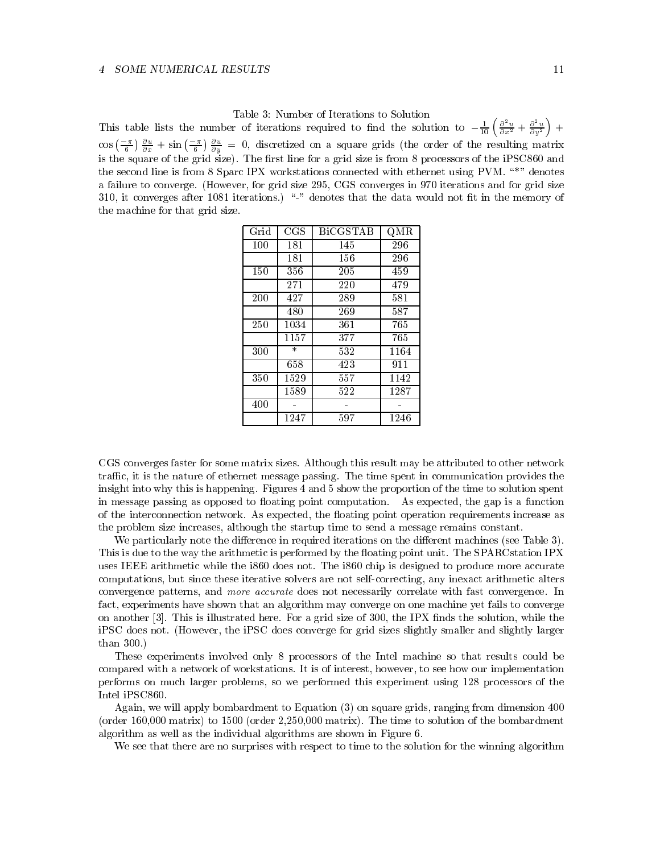This table lists the number of iterations required to find the solution to  $-\frac{1}{10}\left(\frac{\partial^2 u}{\partial x^2}+\frac{\partial^2 u}{\partial y^2}\right)+$  $\cos\left(\frac{-\pi}{6}\right)\frac{\partial u}{\partial x} + \sin\left(\frac{-\pi}{6}\right)\frac{\partial u}{\partial y} = 0$ , discretized on a square grids (the order of the resulting matrix is the square of the grid size is from 8 processors line for a grid size is from 8 processors of the iPSC860 and  $\alpha$ the second line is from 8 Sparc IPX workstations connected with ethernet using PVM.  $\mathrm{``}^*$ " denotes a failure to converge. (However, for grid size 295, CGS converges in 970 iterations and for grid size 310, it converges after 1081 iterations.) " $-$ " denotes that the data would not fit in the memory of the machine for that grid size.

| Grid | $_{\rm CGS}$ | <b>BiCGSTAB</b> | QMR  |
|------|--------------|-----------------|------|
| 100  | 181          | 145             | 296  |
|      | 181          | 156             | 296  |
| 150  | 356          | 205             | 459  |
|      | 271          | 220             | 479  |
| 200  | 427          | 289             | 581  |
|      | 480          | 269             | 587  |
| 250  | 1034         | 361             | 765  |
|      | 1157         | 377             | 765  |
| 300  | $\ast$       | 532             | 1164 |
|      | 658          | 423             | 911  |
| 350  | 1529         | 557             | 1142 |
|      | 1589         | 522             | 1287 |
| 400  |              |                 |      |
|      | 1247         | 597             | 1246 |

CGS converges faster for some matrix sizes. Although this result may be attributed to other network traffic, it is the nature of ethernet message passing. The time spent in communication provides the insight into why this is happening. Figures 4 and 5 show the proportion of the time to solution spent in message passing as opposed to floating point computation. As expected, the gap is a function of the interconnection network. As expected, the floating point operation requirements increase as the problem size increases, although the startup time to send a message remains constant.

We particularly note the difference in required iterations on the different machines (see Table 3). This is due to the way the arithmetic is performed by the floating point unit. The SPARC station IPX uses IEEE arithmetic while the i860 does not. The i860 chip is designed to produce more accurate computations, but since these iterative solvers are not self-correcting, any inexact arithmetic alters convergence patterns, and more accurate does not necessarily correlate with fast convergence. In fact, experiments have shown that an algorithm may converge on one machine yet fails to converge on another [3]. This is illustrated here. For a grid size of 300, the IPX finds the solution, while the iPSC does not. (However, the iPSC does converge for grid sizes slightly smaller and slightly larger than 300.)

These experiments involved only 8 processors of the Intel machine so that results could be compared with a network of workstations. It is of interest, however, to see how our implementation performs on much larger problems, so we performed this experiment using 128 processors of the Intel iPSC860.

Again, we will apply bombardment to Equation (3) on square grids, ranging from dimension 400 (order 160,000 matrix) to 1500 (order 2,250,000 matrix). The time to solution of the bombardment algorithm as well as the individual algorithms are shown in Figure 6.

We see that there are no surprises with respect to time to the solution for the winning algorithm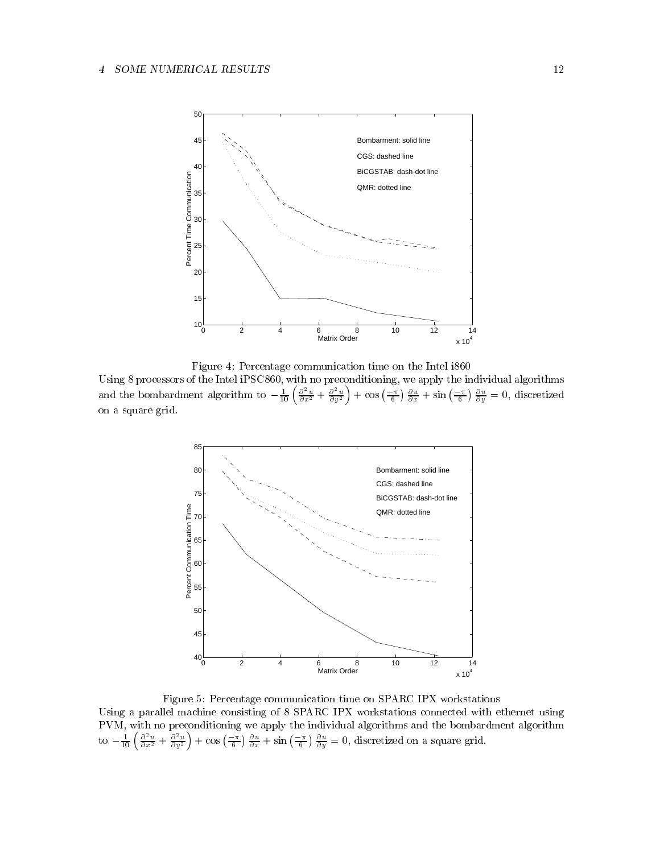

Figure 4: Percentage communication time on the Intel i860

Using 8 processors of the Intel iPSC860, with no preconditioning, we apply the individual algorithms and the bombardment algorithm to  $-\frac{1}{10}\left(\frac{\partial^2 u}{\partial x^2}+\frac{\partial^2 u}{\partial y^2}\right)+\cos\left(\frac{-\pi}{6}\right)\frac{\partial u}{\partial x}+\sin\left(\frac{-\pi}{6}\right)\frac{\partial u}{\partial y}=0$ , discretized on a square grid.



Figure 5: Percentage communication time on SPARC IPX workstations Using a parallel machine consisting of 8 SPARC IPX workstations connected with ethernet using PVM, with no preconditioning we apply the individual algorithms and the bombardment algorithm to  $-\frac{1}{10}\left(\frac{\partial^2 u}{\partial x^2}+\frac{\partial^2 u}{\partial y^2}\right)+\cos\left(\frac{-\pi}{6}\right)\frac{\partial u}{\partial x}+\sin\left(\frac{-\pi}{6}\right)\frac{\partial u}{\partial y}=0$ , discretized on a square grid.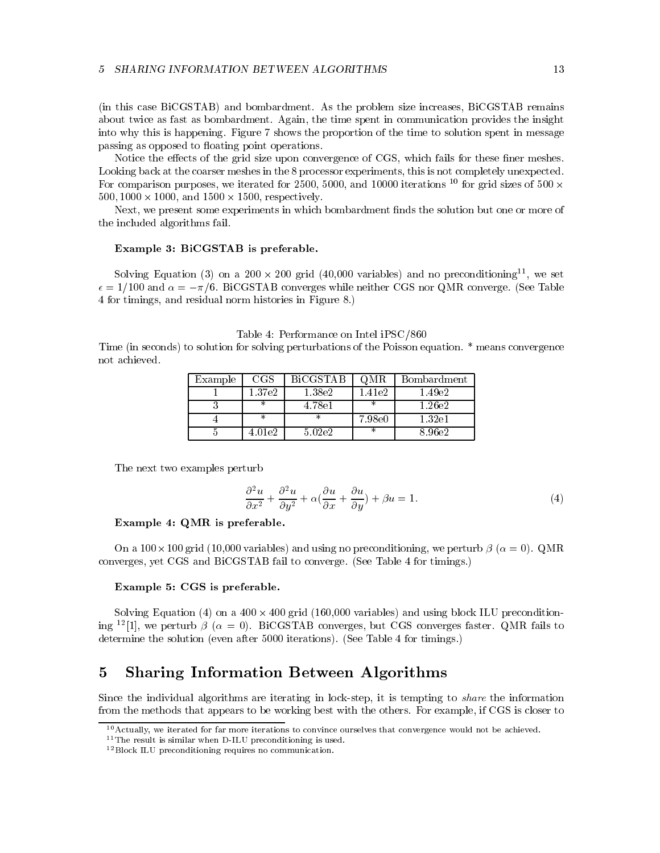(in this case BiCGSTAB) and bombardment. As the problem size increases, BiCGSTAB remains about twice as fast as bombardment. Again, the time spent in communication provides the insight into why this is happening. Figure 7 shows the proportion of the time to solution spent in message passing as opposed to floating point operations.

Notice the effects of the grid size upon convergence of CGS, which fails for these finer meshes. Looking back at the coarser meshes in the 8 processor experiments, this is not completely unexpected. For comparison purposes, we iterated for 2500, 5000, and 10000 iterations <sup>10</sup> for grid sizes of 500  $\times$ 500; 1000 - 1000, and 1500 - 1500, respectively.

Next, we present some experiments in which bombardment finds the solution but one or more of the included algorithms fail.

# Example 3: BiCGSTAB is preferable.

Solving Equation (3) on a 200  $\times$  200 grid (40,000 variables) and no preconditioning  $^\circ$ , we set  $\epsilon = 1/100$  and  $\alpha = -\pi/6$ . BiCGSTAB converges while neither CGS nor QMR converge. (See Table 4 for timings, and residual norm histories in Figure 8.)

Table 4: Performance on Intel iPSC/860 Time (in seconds) to solution for solving perturbations of the Poisson equation. \* means convergence not achieved.

| Example | $_{\rm CGS}$ | <b>BiCGSTAB</b> | QMR     | Bombardment |  |
|---------|--------------|-----------------|---------|-------------|--|
|         | 1.37e2       | 1.38e2          | l.41e2- | 1.49e2      |  |
|         |              | 4.78e1          |         | 1.26e2      |  |
|         | ж            |                 | 7.98e0  | 1.32e1      |  |
|         | 4.01e2       | 5.02e2          |         | 8.96e2      |  |

The next two examples perturb

$$
\frac{\partial^2 u}{\partial x^2} + \frac{\partial^2 u}{\partial y^2} + \alpha \left( \frac{\partial u}{\partial x} + \frac{\partial u}{\partial y} \right) + \beta u = 1.
$$
 (4)

### Example 4: QMR is preferable.

On a 100-100 grid (10,000 variables) and using no preconditioning, we perturb  ( = 0). QMR converges, yet CGS and BiCGSTAB fail to converge. (See Table 4 for timings.)

### Example 5: CGS is preferable.

Solving Equation (4) on a 400 - 400 grid (160,000 variables) and using block ILU preconditioning <sup>12</sup>[1], we perturb  $\beta$  ( $\alpha = 0$ ). BiCGSTAB converges, but CGS converges faster. QMR fails to determine the solution (even after 5000 iterations). (See Table 4 for timings.)

# 5 Sharing Information Between Algorithms

Since the individual algorithms are iterating in lock-step, it is tempting to *share* the information from the methods that appears to be working best with the others. For example, if CGS is closer to

<sup>10</sup>Actually, we iterated for far more iterations to convince ourselves that convergence would not be achieved.

<sup>&</sup>lt;sup>11</sup>The result is similar when D-ILU preconditioning is used.

<sup>12</sup>Block ILU preconditioning requires no communication.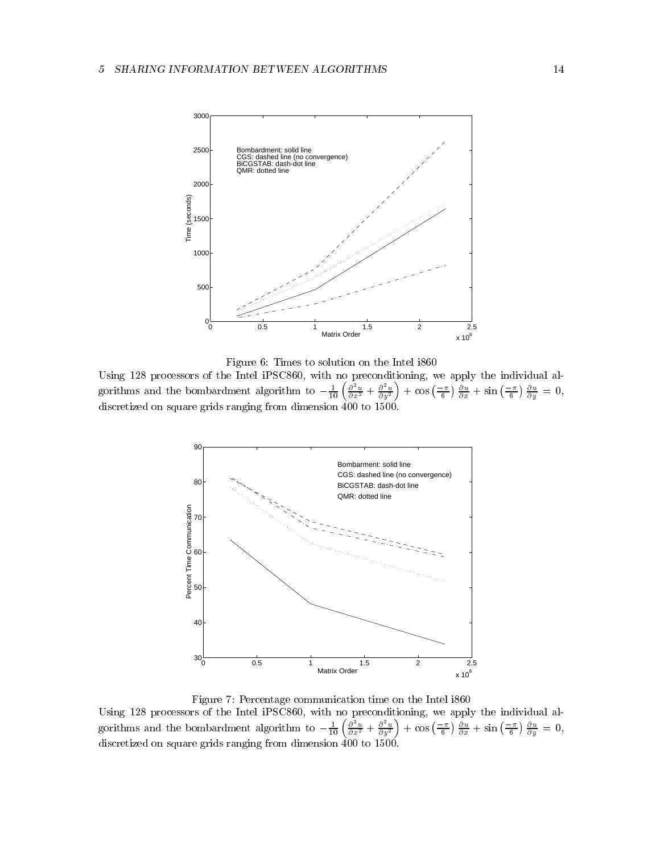

Figure 6: Times to solution on the Intel i860

Using 128 processors of the Intel iPSC860, with no preconditioning, we apply the individual algorithms and the bombardment algorithm to  $-\frac{1}{10} \left( \frac{\partial^2 u}{\partial x^2} + \frac{\partial^2 u}{\partial y^2} \right) + \cos \left( \frac{-\pi}{6} \right) \frac{\partial u}{\partial x} + \sin \left( \frac{-\pi}{6} \right) \frac{\partial u}{\partial y} = 0$ , discretized on square grids ranging from dimension 400 to 1500.



 $\mathbf{F}$ Using 128 processors of the Intel iPSC860, with no preconditioning, we apply the individual algorithms and the bombardment algorithm to  $-\frac{1}{10} \left( \frac{\partial^2 u}{\partial x^2} + \frac{\partial^2 u}{\partial y^2} \right) + \cos \left( \frac{-\pi}{6} \right) \frac{\partial u}{\partial x} + \sin \left( \frac{-\pi}{6} \right) \frac{\partial u}{\partial y} = 0$ , discretized on square grids ranging from dimension 400 to 1500.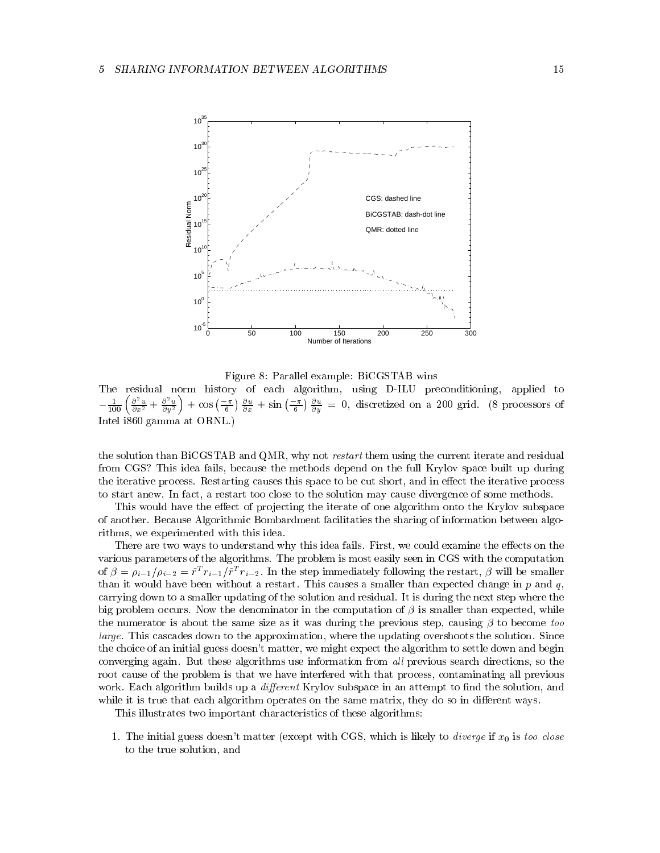

Figure 8: Parallel example: BiCGSTAB wins

The residual norm history of each algorithm, using D-ILU preconditioning, applied to  $-\frac{1}{100}\left(\frac{\partial^2 u}{\partial x^2}+\frac{\partial^2 u}{\partial y^2}\right)+\cos\left(\frac{-\pi}{6}\right)\frac{\partial u}{\partial x}+\sin\left(\frac{-\pi}{6}\right)\frac{\partial u}{\partial y}=0$ , discretized on a 200 grid. (8 processors of Intel i860 gamma at ORNL.)

the solution than BiCGSTAB and QMR, why not *restart* them using the current iterate and residual from CGS? This idea fails, because the methods depend on the full Krylov space built up during the iterative process. Restarting causes this space to be cut short, and in effect the iterative process to start anew. In fact, a restart too close to the solution may cause divergence of some methods.

This would have the effect of projecting the iterate of one algorithm onto the Krylov subspace of another. Because Algorithmic Bombardment facilitaties the sharing of information between algorithms, we experimented with this idea.

There are two ways to understand why this idea fails. First, we could examine the effects on the various parameters of the algorithms. The problem is most easily seen in CGS with the computation of  $p = p_{i-1}/p_{i-2} = r \cdot r_{i-1}/r \cdot r_{i-2}$ . In the step immediately following the restart, p will be smaller than it would have been without a restart. This causes a smaller than expected change in  $p$  and  $q$ , carrying down to a smaller updating of the solution and residual. It is during the next step where the big problem occurs. Now the denominator in the computation of  $\beta$  is smaller than expected, while the numerator is about the same size as it was during the previous step, causing  $\beta$  to become too large. This cascades down to the approximation, where the updating overshoots the solution. Since the choice of an initial guess doesn't matter, we might expect the algorithm to settle down and begin converging again. But these algorithms use information from *all* previous search directions, so the root cause of the problem is that we have interfered with that process, contaminating all previous work. Each algorithm builds up a *different* Krylov subspace in an attempt to find the solution, and while it is true that each algorithm operates on the same matrix, they do so in different ways.

This illustrates two important characteristics of these algorithms:

1. The initial guess doesn't matter (except with CGS, which is likely to *diverge* if  $x_0$  is too close to the true solution, and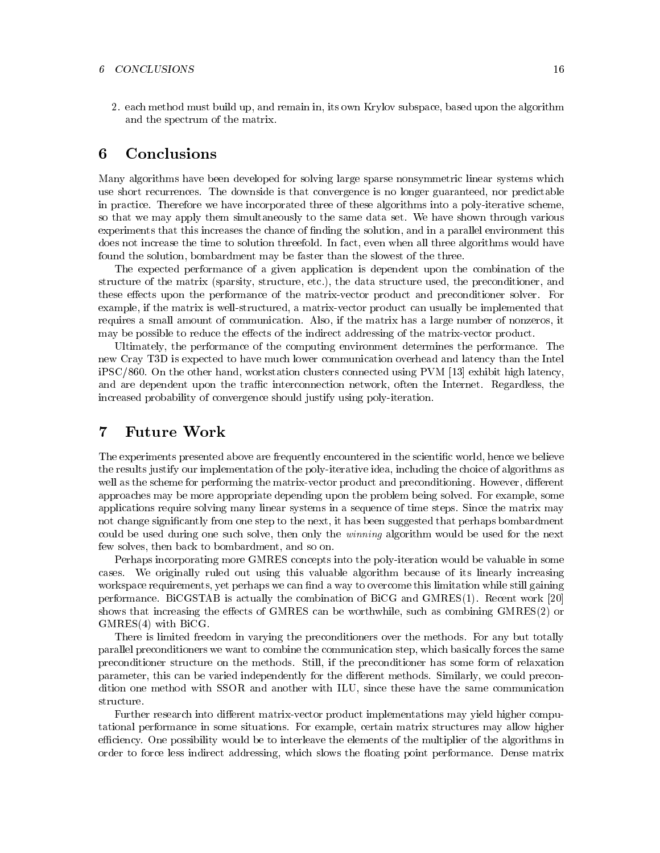2. each method must build up, and remain in, its own Krylov subspace, based upon the algorithm and the spectrum of the matrix.

# 6 Conclusions

Many algorithms have been developed for solving large sparse nonsymmetric linear systems which use short recurrences. The downside is that convergence is no longer guaranteed, nor predictable in practice. Therefore we have incorporated three of these algorithms into a poly-iterative scheme, so that we may apply them simultaneously to the same data set. We have shown through various experiments that this increases the chance of nding the solution, and in a parallel environment this does not increase the time to solution threefold. In fact, even when all three algorithms would have found the solution, bombardment may be faster than the slowest of the three.

The expected performance of a given application is dependent upon the combination of the structure of the matrix (sparsity, structure, etc.), the data structure used, the preconditioner, and these effects upon the performance of the matrix-vector product and preconditioner solver. For example, if the matrix is well-structured, a matrix-vector product can usually be implemented that requires a small amount of communication. Also, if the matrix has a large number of nonzeros, it may be possible to reduce the effects of the indirect addressing of the matrix-vector product.

Ultimately, the performance of the computing environment determines the performance. The new Cray T3D is expected to have much lower communication overhead and latency than the Intel iPSC/860. On the other hand, workstation clusters connected using PVM [13] exhibit high latency, and are dependent upon the traffic interconnection network, often the Internet. Regardless, the increased probability of convergence should justify using poly-iteration.

# 7 Future Work

The experiments presented above are frequently encountered in the scientic world, hence we believe the results justify our implementation of the poly-iterative idea, including the choice of algorithms as well as the scheme for performing the matrix-vector product and preconditioning. However, different approaches may be more appropriate depending upon the problem being solved. For example, some applications require solving many linear systems in a sequence of time steps. Since the matrix may not change signicantly from one step to the next, it has been suggested that perhaps bombardment could be used during one such solve, then only the winning algorithm would be used for the next few solves, then back to bombardment, and so on.

Perhaps incorporating more GMRES concepts into the poly-iteration would be valuable in some cases. We originally ruled out using this valuable algorithm because of its linearly increasing workspace requirements, yet perhaps we can find a way to overcome this limitation while still gaining performance. BiCGSTAB is actually the combination of BiCG and GMRES(1). Recent work [20] shows that increasing the effects of GMRES can be worthwhile, such as combining GMRES(2) or GMRES(4) with BiCG.

There is limited freedom in varying the preconditioners over the methods. For any but totally parallel preconditioners we want to combine the communication step, which basically forces the same preconditioner structure on the methods. Still, if the preconditioner has some form of relaxation parameter, this can be varied independently for the different methods. Similarly, we could precondition one method with SSOR and another with ILU, since these have the same communication structure.

Further research into different matrix-vector product implementations may yield higher computational performance in some situations. For example, certain matrix structures may allow higher efficiency. One possibility would be to interleave the elements of the multiplier of the algorithms in order to force less indirect addressing, which slows the floating point performance. Dense matrix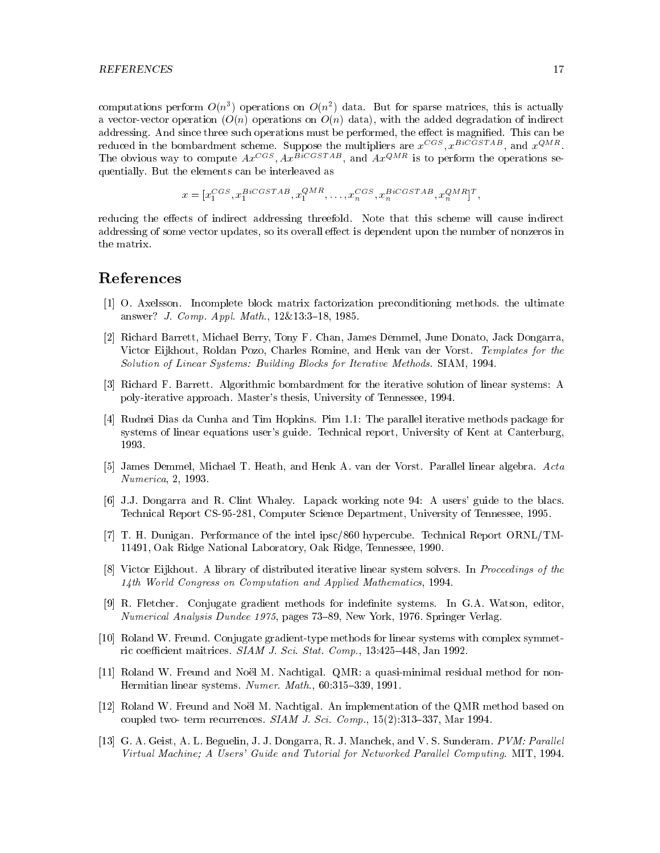computations perform  $O(n^2)$  operations on  $O(n^2)$  data. But for sparse matrices, this is actually a vector-vector operation  $(O(n)$  operations on  $O(n)$  data), with the added degradation of indirect addressing. And since three such operations must be performed, the effect is magnified. This can be reduced in the bombardment scheme. Suppose the multipliers are  $x^{1-\alpha}, x^{1-\alpha-\alpha-\alpha}$ , and  $x^{2-\alpha-\alpha}$ . The obvious way to compute  $Ax^{\text{max}}$ ,  $Ax^{\text{max}}$ , and  $Ax^{\text{max}}$  is to perform the operations sequentially. But the elements can be interleaved as

$$
x = [x_1^{CGS}, x_1^{BiCGSTAB}, x_1^{QMR}, \dots, x_n^{CGS}, x_n^{BiCGSTAB}, x_n^{QMR}]^T,
$$

reducing the effects of indirect addressing threefold. Note that this scheme will cause indirect addressing of some vector updates, so its overall effect is dependent upon the number of nonzeros in the matrix.

# References

- [1] O. Axelsson. Incomplete block matrix factorization preconditioning methods. the ultimate answer? *J. Comp. Appl. Math.*, 12&13:3-18, 1985.
- [2] Richard Barrett, Michael Berry, Tony F. Chan, James Demmel, June Donato, Jack Dongarra, Victor Eijkhout, Roldan Pozo, Charles Romine, and Henk van der Vorst. Templates for the Solution of Linear Systems: Building Blocks for Iterative Methods. SIAM, 1994.
- [3] Richard F. Barrett. Algorithmic bombardment for the iterative solution of linear systems: A poly-iterative approach. Master's thesis, University of Tennessee, 1994.
- [4] Rudnei Dias da Cunha and Tim Hopkins. Pim 1.1: The parallel iterative methods package for systems of linear equations user's guide. Technical report, University of Kent at Canterburg, 1993.
- [5] James Demmel, Michael T. Heath, and Henk A. van der Vorst. Parallel linear algebra. Acta Numerica, 2, 1993.
- [6] J.J. Dongarra and R. Clint Whaley. Lapack working note 94: A users' guide to the blacs. Technical Report CS-95-281, Computer Science Department, University of Tennessee, 1995.
- [7] T. H. Dunigan. Performance of the intel ipsc/860 hypercube. Technical Report ORNL/TM-11491, Oak Ridge National Laboratory, Oak Ridge, Tennessee, 1990.
- [8] Victor Eijkhout. A library of distributed iterative linear system solvers. In Proceedings of the 14th World Congress on Computation and Applied Mathematics, 1994.
- [9] R. Fletcher. Conjugate gradient methods for indenite systems. In G.A. Watson, editor, Numerical Analysis Dundee 1975, pages 73–89, New York, 1976. Springer Verlag.
- [10] Roland W. Freund. Conjugate gradient-type methods for linear systems with complex symmetric coefficient maitrices. SIAM J. Sci. Stat. Comp.,  $13:425{-}448$ , Jan 1992.
- [11] Roland W. Freund and Noel M. Nachtigal. QMR: a quasi-minimal residual method for non-Hermitian linear systems. Numer. Math.,  $60:315{-}339, 1991$ .
- [12] Roland W. Freund and Noel M. Nachtigal. An implementation of the QMR method based on coupled two- term recurrences.  $SIAM J. Sci. Comp.$ ,  $15(2):313-337$ , Mar 1994.
- [13] G. A. Geist, A. L. Beguelin, J. J. Dongarra, R. J. Manchek, and V. S. Sunderam. PVM: Parallel Virtual Machine; A Users' Guide and Tutorial for Networked Parallel Computing. MIT, 1994.